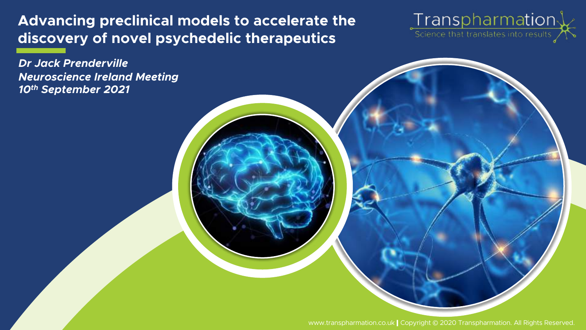Advancing preclinical models to accelerate the discovery of novel psychedelic therapeutics

Transpharmation X

*Dr Jack Prenderville Neuroscience Ireland Meeting 10th September 2021*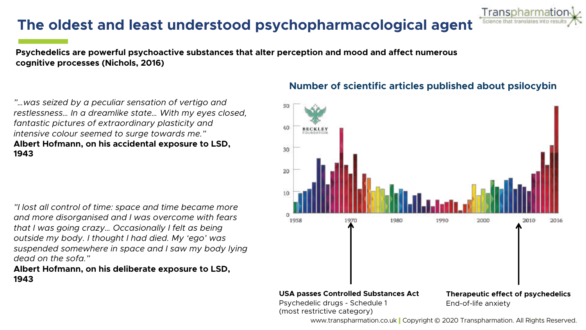# The oldest and least understood psychopharmacological agent

Psychedelics are powerful psychoactive substances that alter perception and mood and affect numerous cognitive processes (Nichols, 2016)

*"…was seized by a peculiar sensation of vertigo and restlessness… In a dreamlike state… With my eyes closed, fantastic pictures of extraordinary plasticity and intensive colour seemed to surge towards me."* Albert Hofmann, on his accidental exposure to LSD, 1943

*"I lost all control of time: space and time became more and more disorganised and I was overcome with fears that I was going crazy… Occasionally I felt as being outside my body. I thought I had died. My 'ego' was suspended somewhere in space and I saw my body lying dead on the sofa."*

#### Albert Hofmann, on his deliberate exposure to LSD, 1943

#### Number of scientific articles published about psilocybin

Transpharmatic

Science that translates

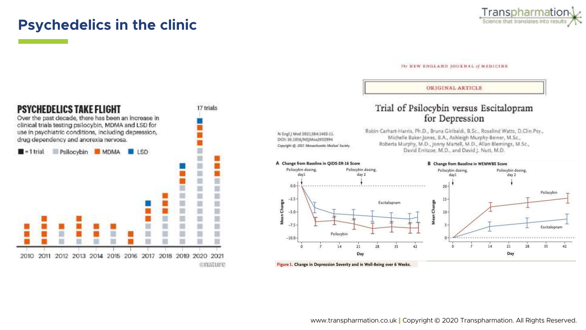### Psychedelics in the clinic



#### The NEW ENGLAND JOURNAL of MEDICINE



#### **ORIGINAL ARTICLE** Trial of Psilocybin versus Escitalopram for Depression Robin Carhart-Harris, Ph.D., Bruna Giribaldi, B.Sc., Rosalind Watts, D.Clin.Psy., N Engl j Med 2021;384:1402-11. Michelle Baker-Jones, B.A., Ashleigh Murphy-Beiner, M.Sc., DOI: 10.1056/NEJMoa2012994 Roberta Murphy, M.D., Jonny Martell, M.D., Allan Blemings, M.Sc., Capyright @ 2022 Monechaette Medical Society. David Erritzoe, M.D., and David J. Nutt, M.D. A Change from Baseline in QIDS-SR-16 Score **B** Change from Baseline in WEMWBS Score Psilocybin dosing, Psilocybin dosing. Psilocybin dosing Psilocybin dosing, day 2 dayl day 2  $20 -$ Psilocybin 15 Escitalopram Change  $10$ ān z Escitalopram Psilocybin



21

Day

28

35

42

14

day1

 $0.0$ 

 $-2.5$ 

 $-5.0$ 

 $-7.5$ 

 $-10.0$ 

Change

Mean

 $14$ 

 $21$ 

Day

28

35

42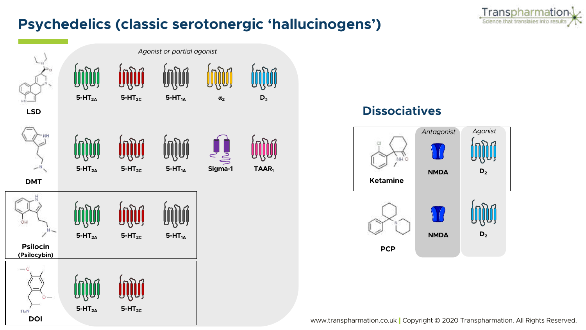

# Psychedelics (classic serotonergic 'hallucinogens')



### Dissociatives

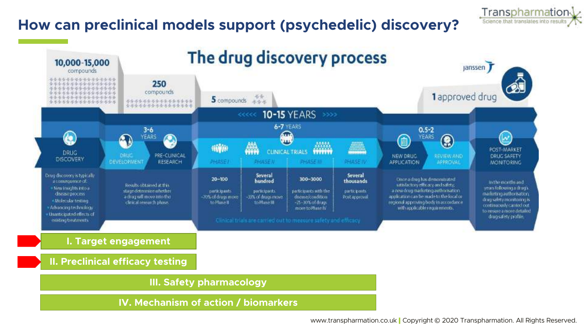# How can preclinical models support (psychedelic) discovery?



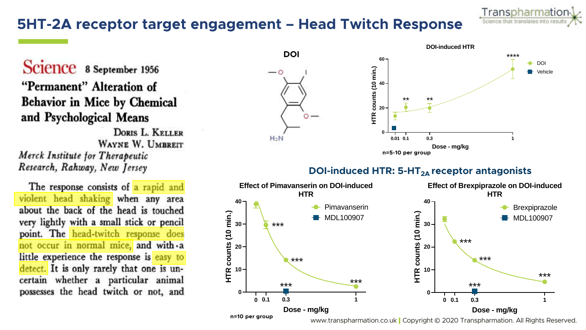# 5HT-2A receptor target engagement – Head Twitch Response

Science 8 September 1956 "Permanent" Alteration of **Behavior in Mice by Chemical** and Psychological Means

**DORIS L. KELLER** WAYNE W. UMBREIT Merck Institute for Therapeutic Research, Rahway, New Jersey

The response consists of a rapid and violent head shaking when any area about the back of the head is touched very lightly with a small stick or pencil point. The head-twitch response does not occur in normal mice, and with a little experience the response is easy to detect. It is only rarely that one is uncertain whether a particular animal possesses the head twitch or not, and



Transpharmation Science that translates into resu

#### DOI-induced HTR:  $5-HT_{2A}$  receptor antagonists

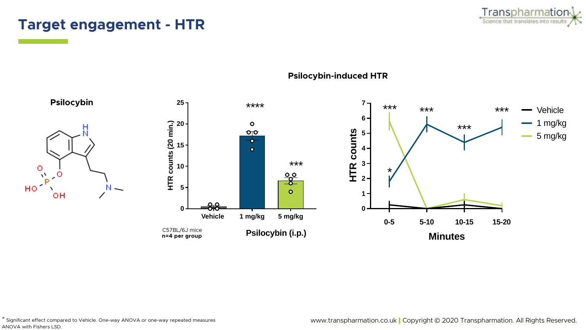### Target engagement - HTR





#### Psilocybin-induced HTR

\* Significant effect compared to Vehicle. One-way ANOVA or one-way repeated measures ANOVA with Fishers LSD.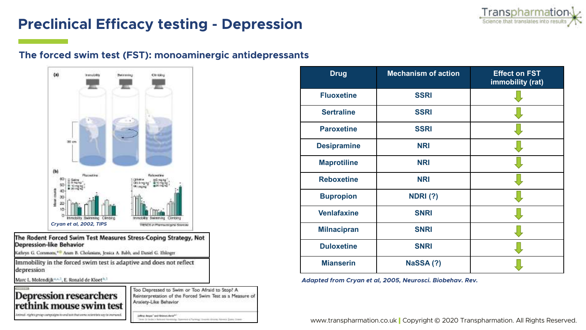

# Preclinical Efficacy testing - Depression

#### The forced swim test (FST): monoaminergic antidepressants



The Rodent Forced Swim Test Measures Stress-Coping Strategy, Not **Depression-like Behavior** 

Kathrya G. Commons,<sup>440</sup> Aram B. Cholanians, Jessica A. Babb, and Daniel G. Ehlinger

Immobility in the forced swim test is adaptive and does not reflect depression

Marc L. Molendijk<sup>4, 2, 1</sup>, E. Ronald de Kloet<sup>h, 1</sup>

#### **Depression researchers** rethink mouse swim test between the state and transport to the function of our good and agree in the harder

Too Depressed to Swim or Too Afraid to Stop? A Reinterpretation of the Forced Swim Test as a Measure of Anxiety-Like Behavior

jathry American and Strippen American Tane It lads is belown revening Speemen Chyrings Source: Journal David State

| <b>Drug</b>        | <b>Mechanism of action</b> | <b>Effect on FST</b><br>immobility (rat) |
|--------------------|----------------------------|------------------------------------------|
| <b>Fluoxetine</b>  | <b>SSRI</b>                |                                          |
| <b>Sertraline</b>  | <b>SSRI</b>                |                                          |
| <b>Paroxetine</b>  | <b>SSRI</b>                |                                          |
| <b>Desipramine</b> | <b>NRI</b>                 |                                          |
| <b>Maprotiline</b> | <b>NRI</b>                 |                                          |
| <b>Reboxetine</b>  | <b>NRI</b>                 |                                          |
| <b>Bupropion</b>   | <b>NDRI (?)</b>            |                                          |
| <b>Venlafaxine</b> | <b>SNRI</b>                |                                          |
| <b>Milnacipran</b> | <b>SNRI</b>                |                                          |
| <b>Duloxetine</b>  | <b>SNRI</b>                |                                          |
| <b>Mianserin</b>   | NaSSA(?)                   |                                          |

*Adapted from Cryan et al, 2005, Neurosci. Biobehav. Rev.*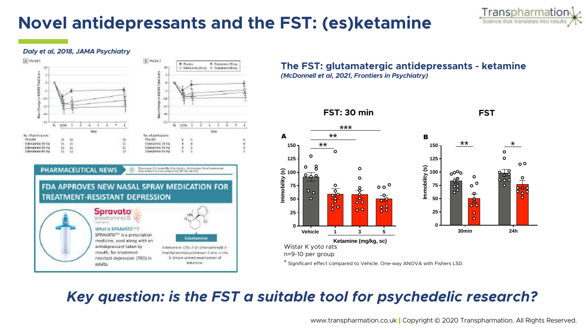# Novel antidepressants and the FST: (es)ketamine



#### *Daly et al, 2018, JAMA Psychiatry*



The FST: glutamatergic antidepressants - ketamine *(McDonnell et al, 2021, Frontiers in Psychiatry)*



\* Significant effect compared to Vehicle. One-way ANOVA with Fishers LSD.

# *Key question: is the FST a suitable tool for psychedelic research?*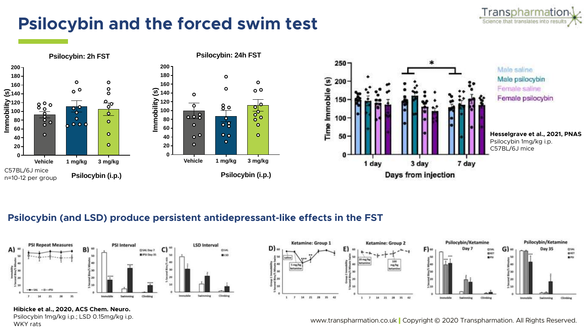

# Psilocybin and the forced swim test



#### Psilocybin (and LSD) produce persistent antidepressant-like effects in the FST





#### Hibicke et al., 2020, ACS Chem. Neuro.

Psilocybin 1mg/kg i.p.; LSD 0.15mg/kg i.p. WKY rats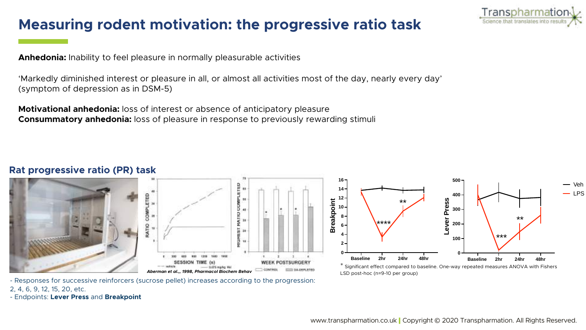# Measuring rodent motivation: the progressive ratio task

Transpharmatio Science that translates into re

Anhedonia: Inability to feel pleasure in normally pleasurable activities

'Markedly diminished interest or pleasure in all, or almost all activities most of the day, nearly every day' (symptom of depression as in DSM-5)

**Motivational anhedonia:** loss of interest or absence of anticipatory pleasure Consummatory anhedonia: loss of pleasure in response to previously rewarding stimuli

#### Rat progressive ratio (PR) task







\* Significant effect compared to baseline. One-way repeated measures ANOVA with Fishers LSD post-hoc (n=9-10 per group)

- Responses for successive reinforcers (sucrose pellet) increases according to the progression:

2, 4, 6, 9, 12, 15, 20, etc.

- Endpoints: Lever Press and Breakpoint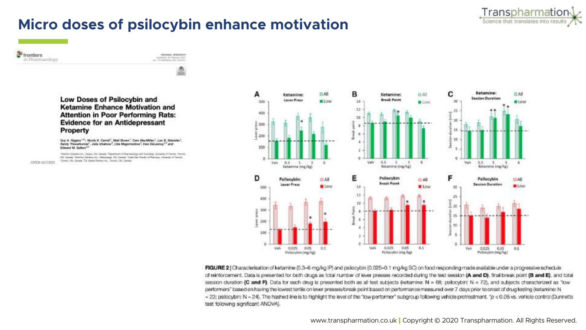

# Micro doses of psilocybin enhance motivation

*<u>trontiers</u>* in Pharmacology

OFEN ACCESS



ORIGINAL RESENSOR

Low Doses of Psilocybin and Ketamine Enhance Motivation and **Attention in Poor Performing Rats: Evidence for an Antidepressant** Property

Guy A. Higgins <sup>Lts</sup>, Nicole K. Carroll', Matt Brown', Carn MacMillan', Leo B. Silenisks', Sendy Thenattunnel', Jolla Unakeve", Lilla Magnineotive", Inio DeLannoy<sup>3,4</sup> and Edward M. Sellers<sup>24</sup>

fenensie Scalibei inc., Argua, Old Lianada "Desembert Filtermakdog und Forcologi, University of Zecont; Forcins OS Catela, Trinitire Subtine Inc., Mensaign DS Dealer Sade Dai Feuily of Remain: University of Territo. Somes On, Genetic 13, Opter Person Inc., Tennis On: Dende



FIGURE 2 | Characterisation of ketamine (0.3-6 mg/kg IP) and psilocybin (0.025-0.1 mg/kg SC) on food responding made available under a progressive schedule of reinforcement. Data is presented for both drugs as total number of lever presses recorded during the test session (A and D), final break point (B and E), and total session duration (C and F). Data for each drug is presented both as all test subjects (ketamine: N = 68; psilocybin; N = 72), and subjects characterized as "low performers" based on having the lowest tertile on lever presses/break point based on performance massured over 7 days prior to onset of drug testing (ketamine: N - 23; psilocybin: N - 24). The hashed line is to highlight the level of the "low performer" subgroup following vehicle pretreatment, "p < 0.05 vs. vehicle control (Dunnetts test following significant ANOVA).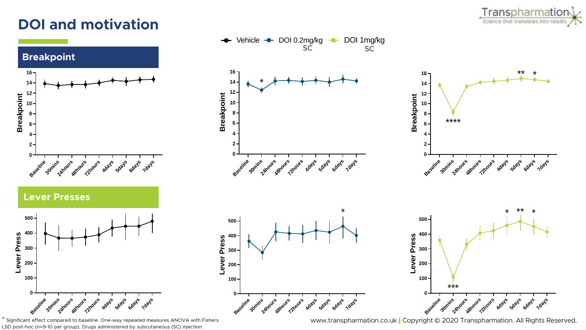# DOI and motivation



\* Significant effect compared to baseline. One-way repeated measures ANOVA with Fishers LSD post-hoc (n=9-10 per group). Drugs administered by subcutaneous (SC) injection.



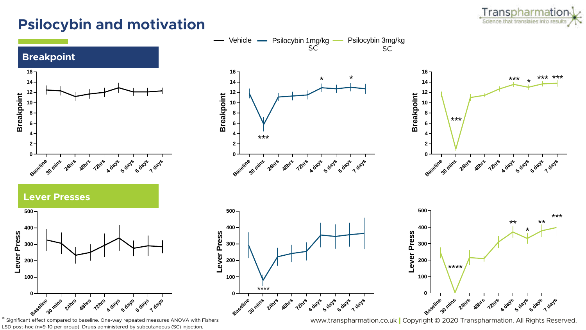# Psilocybin and motivation



to baseline. One-way repeated measures ANOVA with Fishers LSD post-hoc (n=9-10 per group). Drugs administered by subcutaneous (SC) injection.

Transpharmation Science that translates into resul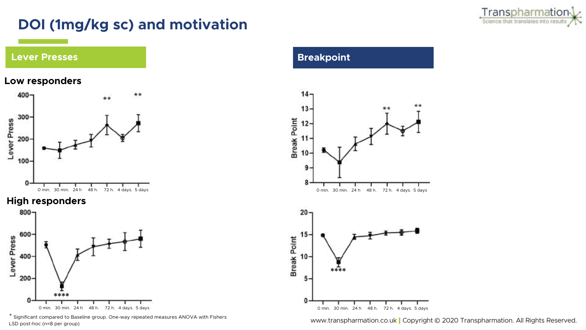

# DOI (1mg/kg sc) and motivation



#### Low responders



#### High responders



\* Significant compared to Baseline group. One-way repeated measures ANOVA with Fishers LSD post-hoc (n=8 per group)

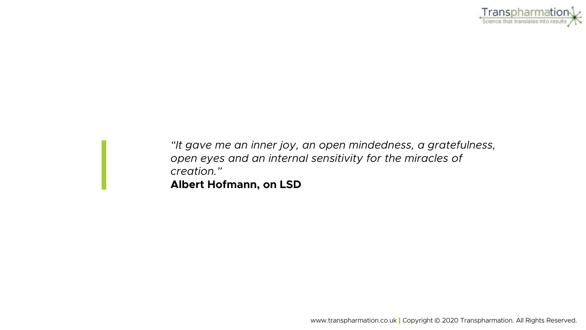

*"It gave me an inner joy, an open mindedness, a gratefulness, open eyes and an internal sensitivity for the miracles of creation."*

Albert Hofmann, on LSD